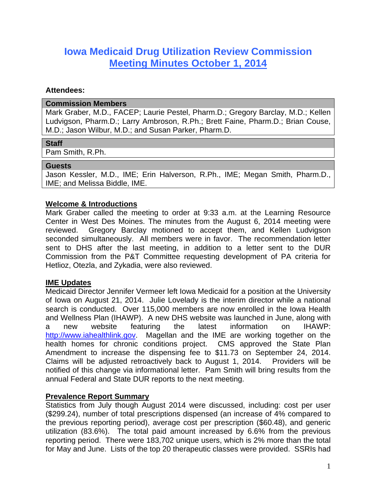# **Iowa Medicaid Drug Utilization Review Commission Meeting Minutes October 1, 2014**

#### **Attendees:**

#### **Commission Members**

Mark Graber, M.D., FACEP; Laurie Pestel, Pharm.D.; Gregory Barclay, M.D.; Kellen Ludvigson, Pharm.D.; Larry Ambroson, R.Ph.; Brett Faine, Pharm.D.; Brian Couse, M.D.; Jason Wilbur, M.D.; and Susan Parker, Pharm.D.

## **Staff**

Pam Smith, R.Ph.

#### **Guests**

Jason Kessler, M.D., IME; Erin Halverson, R.Ph., IME; Megan Smith, Pharm.D., IME; and Melissa Biddle, IME.

## **Welcome & Introductions**

Mark Graber called the meeting to order at 9:33 a.m. at the Learning Resource Center in West Des Moines. The minutes from the August 6, 2014 meeting were reviewed. Gregory Barclay motioned to accept them, and Kellen Ludvigson seconded simultaneously. All members were in favor. The recommendation letter sent to DHS after the last meeting, in addition to a letter sent to the DUR Commission from the P&T Committee requesting development of PA criteria for Hetlioz, Otezla, and Zykadia, were also reviewed.

## **IME Updates**

Medicaid Director Jennifer Vermeer left Iowa Medicaid for a position at the University of Iowa on August 21, 2014. Julie Lovelady is the interim director while a national search is conducted. Over 115,000 members are now enrolled in the Iowa Health and Wellness Plan (IHAWP). A new DHS website was launched in June, along with a new website featuring the latest information on IHAWP: http://www.iahealthlink.gov. Magellan and the IME are working together on the health homes for chronic conditions project. CMS approved the State Plan Amendment to increase the dispensing fee to \$11.73 on September 24, 2014. Claims will be adjusted retroactively back to August 1, 2014. Providers will be notified of this change via informational letter. Pam Smith will bring results from the annual Federal and State DUR reports to the next meeting.

## **Prevalence Report Summary**

Statistics from July though August 2014 were discussed, including: cost per user (\$299.24), number of total prescriptions dispensed (an increase of 4% compared to the previous reporting period), average cost per prescription (\$60.48), and generic utilization (83.6%). The total paid amount increased by 6.6% from the previous reporting period. There were 183,702 unique users, which is 2% more than the total for May and June. Lists of the top 20 therapeutic classes were provided. SSRIs had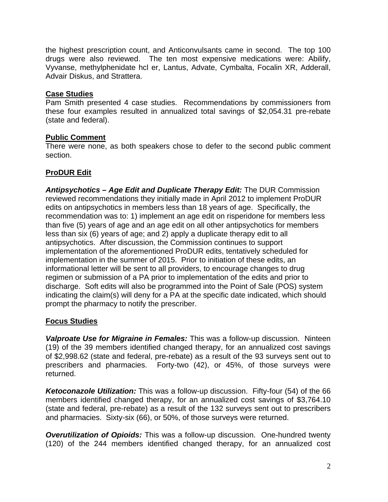the highest prescription count, and Anticonvulsants came in second. The top 100 drugs were also reviewed. The ten most expensive medications were: Abilify, Vyvanse, methylphenidate hcl er, Lantus, Advate, Cymbalta, Focalin XR, Adderall, Advair Diskus, and Strattera.

## **Case Studies**

Pam Smith presented 4 case studies. Recommendations by commissioners from these four examples resulted in annualized total savings of \$2,054.31 pre-rebate (state and federal).

# **Public Comment**

There were none, as both speakers chose to defer to the second public comment section.

# **ProDUR Edit**

*Antipsychotics – Age Edit and Duplicate Therapy Edit:* The DUR Commission reviewed recommendations they initially made in April 2012 to implement ProDUR edits on antipsychotics in members less than 18 years of age. Specifically, the recommendation was to: 1) implement an age edit on risperidone for members less than five (5) years of age and an age edit on all other antipsychotics for members less than six (6) years of age; and 2) apply a duplicate therapy edit to all antipsychotics. After discussion, the Commission continues to support implementation of the aforementioned ProDUR edits, tentatively scheduled for implementation in the summer of 2015. Prior to initiation of these edits, an informational letter will be sent to all providers, to encourage changes to drug regimen or submission of a PA prior to implementation of the edits and prior to discharge. Soft edits will also be programmed into the Point of Sale (POS) system indicating the claim(s) will deny for a PA at the specific date indicated, which should prompt the pharmacy to notify the prescriber.

# **Focus Studies**

*Valproate Use for Migraine in Females:* This was a follow-up discussion. Ninteen (19) of the 39 members identified changed therapy, for an annualized cost savings of \$2,998.62 (state and federal, pre-rebate) as a result of the 93 surveys sent out to prescribers and pharmacies. Forty-two (42), or 45%, of those surveys were returned.

*Ketoconazole Utilization:* This was a follow-up discussion. Fifty-four (54) of the 66 members identified changed therapy, for an annualized cost savings of \$3,764.10 (state and federal, pre-rebate) as a result of the 132 surveys sent out to prescribers and pharmacies. Sixty-six (66), or 50%, of those surveys were returned.

*Overutilization of Opioids:* This was a follow-up discussion. One-hundred twenty (120) of the 244 members identified changed therapy, for an annualized cost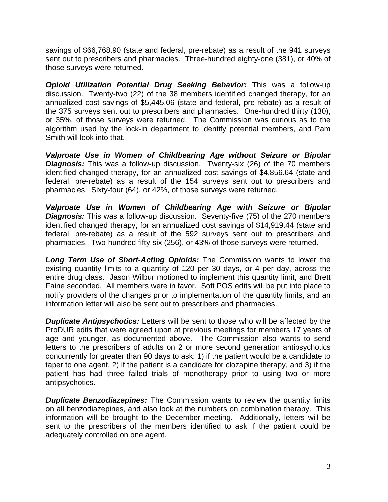savings of \$66,768.90 (state and federal, pre-rebate) as a result of the 941 surveys sent out to prescribers and pharmacies. Three-hundred eighty-one (381), or 40% of those surveys were returned.

*Opioid Utilization Potential Drug Seeking Behavior:* This was a follow-up discussion. Twenty-two (22) of the 38 members identified changed therapy, for an annualized cost savings of \$5,445.06 (state and federal, pre-rebate) as a result of the 375 surveys sent out to prescribers and pharmacies. One-hundred thirty (130), or 35%, of those surveys were returned. The Commission was curious as to the algorithm used by the lock-in department to identify potential members, and Pam Smith will look into that.

*Valproate Use in Women of Childbearing Age without Seizure or Bipolar*  **Diagnosis:** This was a follow-up discussion. Twenty-six (26) of the 70 members identified changed therapy, for an annualized cost savings of \$4,856.64 (state and federal, pre-rebate) as a result of the 154 surveys sent out to prescribers and pharmacies. Sixty-four (64), or 42%, of those surveys were returned.

*Valproate Use in Women of Childbearing Age with Seizure or Bipolar*  **Diagnosis:** This was a follow-up discussion. Seventy-five (75) of the 270 members identified changed therapy, for an annualized cost savings of \$14,919.44 (state and federal, pre-rebate) as a result of the 592 surveys sent out to prescribers and pharmacies. Two-hundred fifty-six (256), or 43% of those surveys were returned.

*Long Term Use of Short-Acting Opioids:* The Commission wants to lower the existing quantity limits to a quantity of 120 per 30 days, or 4 per day, across the entire drug class. Jason Wilbur motioned to implement this quantity limit, and Brett Faine seconded. All members were in favor. Soft POS edits will be put into place to notify providers of the changes prior to implementation of the quantity limits, and an information letter will also be sent out to prescribers and pharmacies.

*Duplicate Antipsychotics:* Letters will be sent to those who will be affected by the ProDUR edits that were agreed upon at previous meetings for members 17 years of age and younger, as documented above. The Commission also wants to send letters to the prescribers of adults on 2 or more second generation antipsychotics concurrently for greater than 90 days to ask: 1) if the patient would be a candidate to taper to one agent, 2) if the patient is a candidate for clozapine therapy, and 3) if the patient has had three failed trials of monotherapy prior to using two or more antipsychotics.

*Duplicate Benzodiazepines:* The Commission wants to review the quantity limits on all benzodiazepines, and also look at the numbers on combination therapy. This information will be brought to the December meeting. Additionally, letters will be sent to the prescribers of the members identified to ask if the patient could be adequately controlled on one agent.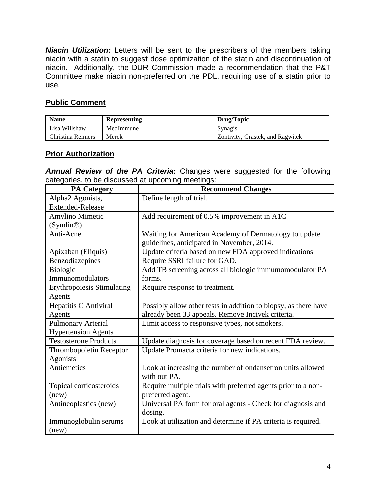*Niacin Utilization:* Letters will be sent to the prescribers of the members taking niacin with a statin to suggest dose optimization of the statin and discontinuation of niacin. Additionally, the DUR Commission made a recommendation that the P&T Committee make niacin non-preferred on the PDL, requiring use of a statin prior to use.

# **Public Comment**

| <b>Name</b>       | <b>Representing</b> | Drug/Topic                       |
|-------------------|---------------------|----------------------------------|
| Lisa Willshaw     | MedImmune           | Synagis                          |
| Christina Reimers | Merck               | Zontivity, Grastek, and Ragwitek |

## **Prior Authorization**

*Annual Review of the PA Criteria:* Changes were suggested for the following categories, to be discussed at upcoming meetings:

| <b>PA Category</b>                | <b>Recommend Changes</b>                                        |
|-----------------------------------|-----------------------------------------------------------------|
| Alpha2 Agonists,                  | Define length of trial.                                         |
| <b>Extended-Release</b>           |                                                                 |
| <b>Amylino Mimetic</b>            | Add requirement of 0.5% improvement in A1C                      |
| (Symlin@)                         |                                                                 |
| Anti-Acne                         | Waiting for American Academy of Dermatology to update           |
|                                   | guidelines, anticipated in November, 2014.                      |
| Apixaban (Eliquis)                | Update criteria based on new FDA approved indications           |
| Benzodiazepines                   | Require SSRI failure for GAD.                                   |
| Biologic                          | Add TB screening across all biologic immumomodulator PA         |
| Immunomodulators                  | forms.                                                          |
| <b>Erythropoiesis Stimulating</b> | Require response to treatment.                                  |
| Agents                            |                                                                 |
| Hepatitis C Antiviral             | Possibly allow other tests in addition to biopsy, as there have |
| Agents                            | already been 33 appeals. Remove Incivek criteria.               |
| <b>Pulmonary Arterial</b>         | Limit access to responsive types, not smokers.                  |
| <b>Hypertension Agents</b>        |                                                                 |
| <b>Testosterone Products</b>      | Update diagnosis for coverage based on recent FDA review.       |
| Thrombopoietin Receptor           | Update Promacta criteria for new indications.                   |
| Agonists                          |                                                                 |
| Antiemetics                       | Look at increasing the number of ondansetron units allowed      |
|                                   | with out PA.                                                    |
| Topical corticosteroids           | Require multiple trials with preferred agents prior to a non-   |
| (new)                             | preferred agent.                                                |
| Antineoplastics (new)             | Universal PA form for oral agents - Check for diagnosis and     |
|                                   | dosing.                                                         |
| Immunoglobulin serums             | Look at utilization and determine if PA criteria is required.   |
| (new)                             |                                                                 |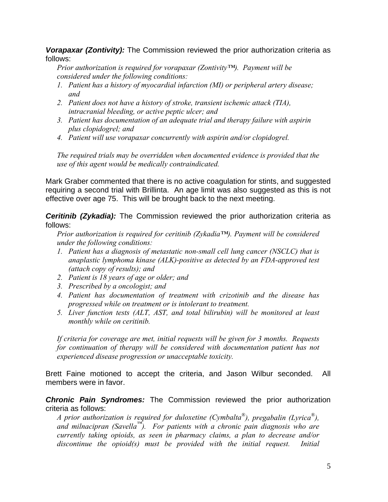*Vorapaxar (Zontivity):* The Commission reviewed the prior authorization criteria as follows:

*Prior authorization is required for vorapaxar (Zontivity™). Payment will be considered under the following conditions:* 

- *1. Patient has a history of myocardial infarction (MI) or peripheral artery disease; and*
- *2. Patient does not have a history of stroke, transient ischemic attack (TIA), intracranial bleeding, or active peptic ulcer; and*
- *3. Patient has documentation of an adequate trial and therapy failure with aspirin plus clopidogrel; and*
- *4. Patient will use vorapaxar concurrently with aspirin and/or clopidogrel.*

*The required trials may be overridden when documented evidence is provided that the use of this agent would be medically contraindicated.* 

Mark Graber commented that there is no active coagulation for stints, and suggested requiring a second trial with Brillinta. An age limit was also suggested as this is not effective over age 75. This will be brought back to the next meeting.

**Ceritinib (Zykadia):** The Commission reviewed the prior authorization criteria as follows:

*Prior authorization is required for ceritinib (Zykadia™). Payment will be considered under the following conditions:* 

- *1. Patient has a diagnosis of metastatic non-small cell lung cancer (NSCLC) that is anaplastic lymphoma kinase (ALK)-positive as detected by an FDA-approved test (attach copy of results); and*
- *2. Patient is 18 years of age or older; and*
- *3. Prescribed by a oncologist; and*
- *4. Patient has documentation of treatment with crizotinib and the disease has progressed while on treatment or is intolerant to treatment.*
- *5. Liver function tests (ALT, AST, and total bilirubin) will be monitored at least monthly while on ceritinib.*

*If criteria for coverage are met, initial requests will be given for 3 months. Requests for continuation of therapy will be considered with documentation patient has not experienced disease progression or unacceptable toxicity.* 

Brett Faine motioned to accept the criteria, and Jason Wilbur seconded. All members were in favor.

*Chronic Pain Syndromes:* The Commission reviewed the prior authorization criteria as follows:

*A prior authorization is required for duloxetine (Cymbalta®), pregabalin (Lyrica®), and milnacipran (Savella™). For patients with a chronic pain diagnosis who are currently taking opioids, as seen in pharmacy claims, a plan to decrease and/or discontinue the opioid(s) must be provided with the initial request. Initial*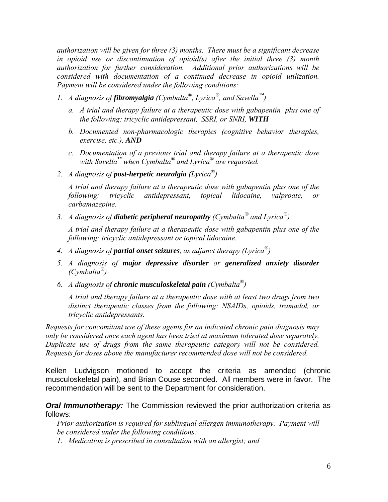*authorization will be given for three (3) months. There must be a significant decrease in opioid use or discontinuation of opioid(s) after the initial three (3) month authorization for further consideration. Additional prior authorizations will be considered with documentation of a continued decrease in opioid utilization. Payment will be considered under the following conditions:* 

- *1. A diagnosis of fibromyalgia (Cymbalta®, Lyrica®, and Savella™)* 
	- *a. A trial and therapy failure at a therapeutic dose with gabapentin plus one of the following: tricyclic antidepressant, SSRI, or SNRI, WITH*
	- *b. Documented non-pharmacologic therapies (cognitive behavior therapies, exercise, etc.), AND*
	- *c. Documentation of a previous trial and therapy failure at a therapeutic dose with Savella™ when Cymbalta® and Lyrica® are requested.*
- *2. A diagnosis of post-herpetic neuralgia (Lyrica®)*

*A trial and therapy failure at a therapeutic dose with gabapentin plus one of the following: tricyclic antidepressant, topical lidocaine, valproate, or carbamazepine.* 

*3. A diagnosis of diabetic peripheral neuropathy (Cymbalta® and Lyrica®)* 

*A trial and therapy failure at a therapeutic dose with gabapentin plus one of the following: tricyclic antidepressant or topical lidocaine.* 

- *4. A diagnosis of partial onset seizures, as adjunct therapy (Lyrica®)*
- *5. A diagnosis of major depressive disorder or generalized anxiety disorder (Cymbalta®)*
- *6. A diagnosis of chronic musculoskeletal pain (Cymbalta®)*

*A trial and therapy failure at a therapeutic dose with at least two drugs from two distinct therapeutic classes from the following: NSAIDs, opioids, tramadol, or tricyclic antidepressants.* 

*Requests for concomitant use of these agents for an indicated chronic pain diagnosis may only be considered once each agent has been tried at maximum tolerated dose separately. Duplicate use of drugs from the same therapeutic category will not be considered. Requests for doses above the manufacturer recommended dose will not be considered.* 

Kellen Ludvigson motioned to accept the criteria as amended (chronic musculoskeletal pain), and Brian Couse seconded. All members were in favor. The recommendation will be sent to the Department for consideration.

*Oral Immunotherapy:* The Commission reviewed the prior authorization criteria as follows:

*Prior authorization is required for sublingual allergen immunotherapy. Payment will be considered under the following conditions:* 

*1. Medication is prescribed in consultation with an allergist; and*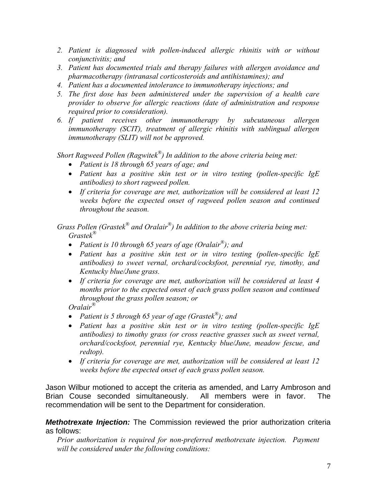- 2. Patient is diagnosed with pollen-induced allergic rhinitis with or without *conjunctivitis; and*
- *3. Patient has documented trials and therapy failures with allergen avoidance and pharmacotherapy (intranasal corticosteroids and antihistamines); and*
- *4. Patient has a documented intolerance to immunotherapy injections; and*
- *5. The first dose has been administered under the supervision of a health care provider to observe for allergic reactions (date of administration and response required prior to consideration).*
- *6. If patient receives other immunotherapy by subcutaneous allergen immunotherapy (SCIT), treatment of allergic rhinitis with sublingual allergen immunotherapy (SLIT) will not be approved.*

*Short Ragweed Pollen (Ragwitek®) In addition to the above criteria being met:* 

- *Patient is 18 through 65 years of age; and*
- *Patient has a positive skin test or in vitro testing (pollen-specific IgE antibodies) to short ragweed pollen.*
- *If criteria for coverage are met, authorization will be considered at least 12 weeks before the expected onset of ragweed pollen season and continued throughout the season.*

*Grass Pollen (Grastek® and Oralair®) In addition to the above criteria being met: Grastek®*

- *Patient is 10 through 65 years of age (Oralair®); and*
- *Patient has a positive skin test or in vitro testing (pollen-specific IgE antibodies) to sweet vernal, orchard/cocksfoot, perennial rye, timothy, and Kentucky blue/June grass.*
- *If criteria for coverage are met, authorization will be considered at least 4 months prior to the expected onset of each grass pollen season and continued throughout the grass pollen season; or*

*Oralair®* 

- *Patient is 5 through 65 year of age (Grastek®); and*
- *Patient has a positive skin test or in vitro testing (pollen-specific IgE antibodies) to timothy grass (or cross reactive grasses such as sweet vernal, orchard/cocksfoot, perennial rye, Kentucky blue/June, meadow fescue, and redtop).*
- *If criteria for coverage are met, authorization will be considered at least 12 weeks before the expected onset of each grass pollen season.*

Jason Wilbur motioned to accept the criteria as amended, and Larry Ambroson and Brian Couse seconded simultaneously. All members were in favor. The recommendation will be sent to the Department for consideration.

*Methotrexate Injection:* The Commission reviewed the prior authorization criteria as follows:

*Prior authorization is required for non-preferred methotrexate injection. Payment will be considered under the following conditions:*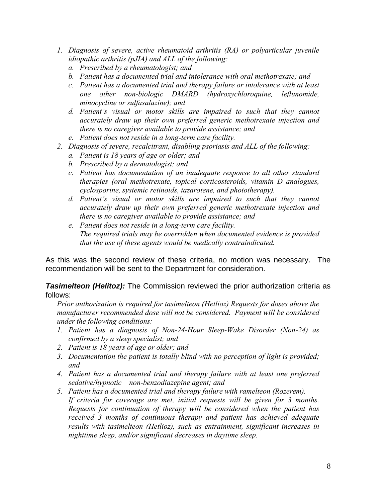- *1. Diagnosis of severe, active rheumatoid arthritis (RA) or polyarticular juvenile idiopathic arthritis (pJIA) and ALL of the following:* 
	- *a. Prescribed by a rheumatologist; and*
	- *b. Patient has a documented trial and intolerance with oral methotrexate; and*
	- *c. Patient has a documented trial and therapy failure or intolerance with at least one other non-biologic DMARD (hydroxychloroquine, leflunomide, minocycline or sulfasalazine); and*
	- *d. Patient's visual or motor skills are impaired to such that they cannot accurately draw up their own preferred generic methotrexate injection and there is no caregiver available to provide assistance; and*
	- *e. Patient does not reside in a long-term care facility.*
- *2. Diagnosis of severe, recalcitrant, disabling psoriasis and ALL of the following:* 
	- *a. Patient is 18 years of age or older; and*
	- *b. Prescribed by a dermatologist; and*
	- *c. Patient has documentation of an inadequate response to all other standard therapies (oral methotrexate, topical corticosteroids, vitamin D analogues, cyclosporine, systemic retinoids, tazarotene, and phototherapy).*
	- *d. Patient's visual or motor skills are impaired to such that they cannot accurately draw up their own preferred generic methotrexate injection and there is no caregiver available to provide assistance; and*
	- *e. Patient does not reside in a long-term care facility. The required trials may be overridden when documented evidence is provided that the use of these agents would be medically contraindicated.*

As this was the second review of these criteria, no motion was necessary. The recommendation will be sent to the Department for consideration.

*Tasimelteon (Helitoz):* The Commission reviewed the prior authorization criteria as follows:

*Prior authorization is required for tasimelteon (Hetlioz) Requests for doses above the manufacturer recommended dose will not be considered. Payment will be considered under the following conditions:* 

- *1. Patient has a diagnosis of Non-24-Hour Sleep-Wake Disorder (Non-24) as confirmed by a sleep specialist; and*
- *2. Patient is 18 years of age or older; and*
- *3. Documentation the patient is totally blind with no perception of light is provided; and*
- *4. Patient has a documented trial and therapy failure with at least one preferred sedative/hypnotic – non-benzodiazepine agent; and*
- *5. Patient has a documented trial and therapy failure with ramelteon (Rozerem). If criteria for coverage are met, initial requests will be given for 3 months. Requests for continuation of therapy will be considered when the patient has received 3 months of continuous therapy and patient has achieved adequate results with tasimelteon (Hetlioz), such as entrainment, significant increases in nighttime sleep, and/or significant decreases in daytime sleep.*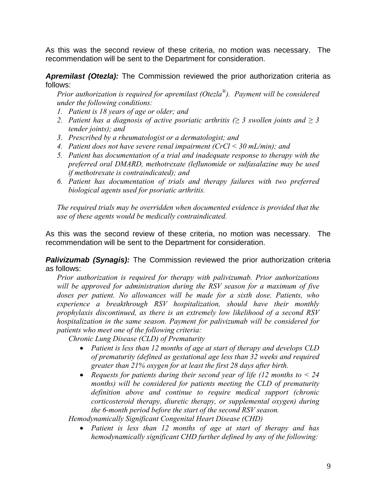As this was the second review of these criteria, no motion was necessary. The recommendation will be sent to the Department for consideration.

*Apremilast (Otezla):* The Commission reviewed the prior authorization criteria as follows:

*Prior authorization is required for apremilast (Otezla®). Payment will be considered under the following conditions:* 

- *1. Patient is 18 years of age or older; and*
- *2. Patient has a diagnosis of active psoriatic arthritis (* $\geq$  *3 swollen joints and*  $\geq$  *3 tender joints); and*
- *3. Prescribed by a rheumatologist or a dermatologist; and*
- *4. Patient does not have severe renal impairment (CrCl < 30 mL/min); and*
- *5. Patient has documentation of a trial and inadequate response to therapy with the preferred oral DMARD, methotrexate (leflunomide or sulfasalazine may be used if methotrexate is contraindicated); and*
- *6. Patient has documentation of trials and therapy failures with two preferred biological agents used for psoriatic arthritis.*

*The required trials may be overridden when documented evidence is provided that the use of these agents would be medically contraindicated.* 

As this was the second review of these criteria, no motion was necessary. The recommendation will be sent to the Department for consideration.

**Palivizumab (Synagis):** The Commission reviewed the prior authorization criteria as follows:

*Prior authorization is required for therapy with palivizumab. Prior authorizations will be approved for administration during the RSV season for a maximum of five*  doses per patient. No allowances will be made for a sixth dose. Patients, who *experience a breakthrough RSV hospitalization, should have their monthly prophylaxis discontinued, as there is an extremely low likelihood of a second RSV hospitalization in the same season. Payment for palivizumab will be considered for patients who meet one of the following criteria:* 

*Chronic Lung Disease (CLD) of Prematurity* 

- *Patient is less than 12 months of age at start of therapy and develops CLD of prematurity (defined as gestational age less than 32 weeks and required greater than 21% oxygen for at least the first 28 days after birth.*
- *Requests for patients during their second year of life (12 months to < 24 months) will be considered for patients meeting the CLD of prematurity definition above and continue to require medical support (chronic corticosteroid therapy, diuretic therapy, or supplemental oxygen) during the 6-month period before the start of the second RSV season.*

*Hemodynamically Significant Congenital Heart Disease (CHD)* 

 *Patient is less than 12 months of age at start of therapy and has hemodynamically significant CHD further defined by any of the following:*